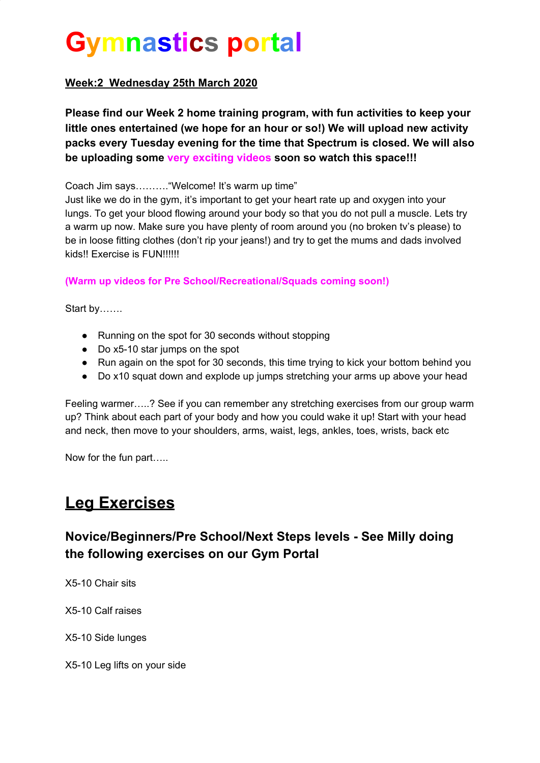# **Gymnastics portal**

#### **Week:2 Wednesday 25th March 2020**

**Please find our Week 2 home training program, with fun activities to keep your little ones entertained (we hope for an hour or so!) We will upload new activity packs every Tuesday evening for the time that Spectrum is closed. We will also be uploading some very exciting videos soon so watch this space!!!**

Coach Jim says………."Welcome! It's warm up time"

Just like we do in the gym, it's important to get your heart rate up and oxygen into your lungs. To get your blood flowing around your body so that you do not pull a muscle. Lets try a warm up now. Make sure you have plenty of room around you (no broken tv's please) to be in loose fitting clothes (don't rip your jeans!) and try to get the mums and dads involved kids!! Exercise is FUN!!!!!!

**(Warm up videos for Pre School/Recreational/Squads coming soon!)**

Start by…….

- Running on the spot for 30 seconds without stopping
- Do x5-10 star jumps on the spot
- Run again on the spot for 30 seconds, this time trying to kick your bottom behind you
- Do x10 squat down and explode up jumps stretching your arms up above your head

Feeling warmer…..? See if you can remember any stretching exercises from our group warm up? Think about each part of your body and how you could wake it up! Start with your head and neck, then move to your shoulders, arms, waist, legs, ankles, toes, wrists, back etc

Now for the fun part…..

## **Leg Exercises**

#### **Novice/Beginners/Pre School/Next Steps levels - See Milly doing the following exercises on our Gym Portal**

X5-10 Chair sits

X5-10 Calf raises

X5-10 Side lunges

X5-10 Leg lifts on your side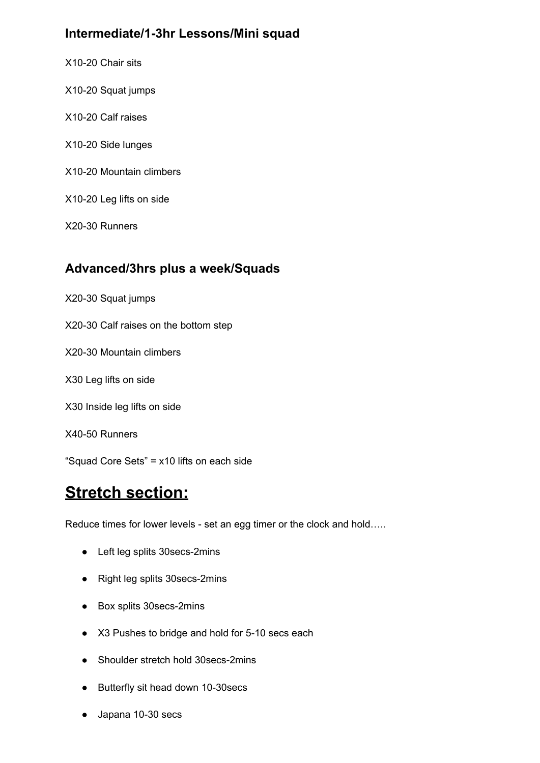#### **Intermediate/1-3hr Lessons/Mini squad**

X10-20 Chair sits X10-20 Squat jumps X10-20 Calf raises X10-20 Side lunges X10-20 Mountain climbers X10-20 Leg lifts on side X20-30 Runners

#### **Advanced/3hrs plus a week/Squads**

- X20-30 Squat jumps
- X20-30 Calf raises on the bottom step
- X20-30 Mountain climbers
- X30 Leg lifts on side
- X30 Inside leg lifts on side
- X40-50 Runners

"Squad Core Sets" = x10 lifts on each side

### **Stretch section:**

Reduce times for lower levels - set an egg timer or the clock and hold…..

- Left leg splits 30secs-2mins
- Right leg splits 30secs-2mins
- Box splits 30secs-2mins
- X3 Pushes to bridge and hold for 5-10 secs each
- Shoulder stretch hold 30secs-2mins
- Butterfly sit head down 10-30secs
- Japana 10-30 secs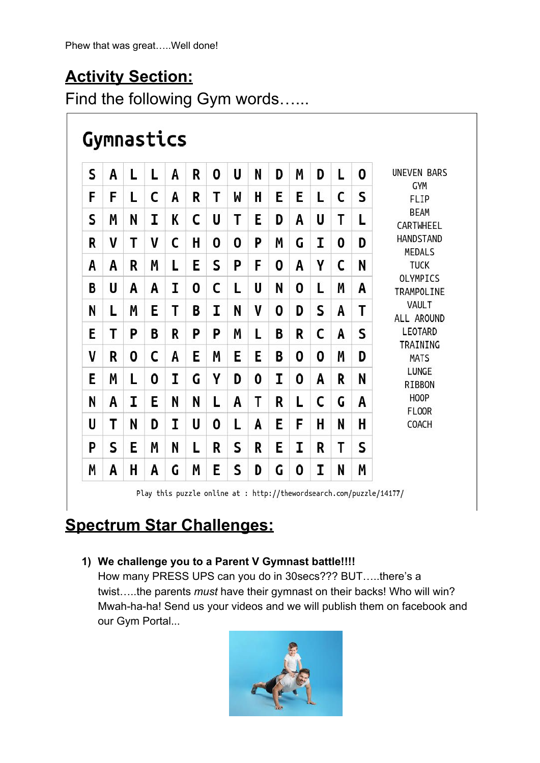## **Activity Section:**

Find the following Gym words…...

## Gymnastics

| S | A | L | L | A | R | 0 | U | N | D | Μ | D | L | 0 | <b>UNEVEN BARS</b><br><b>GYM</b><br>FLIP<br><b>BEAM</b><br>CARTWHEEL<br><b>HANDSTAND</b><br>MEDALS<br><b>TUCK</b><br>OLYMPICS<br>TRAMPOLINE<br>VAULT<br>ALL AROUND<br>LEOTARD<br>TRAINING<br><b>MATS</b><br>LUNGE<br>RIBBON<br><b>HOOP</b><br><b>FLOOR</b><br>COACH |
|---|---|---|---|---|---|---|---|---|---|---|---|---|---|---------------------------------------------------------------------------------------------------------------------------------------------------------------------------------------------------------------------------------------------------------------------|
| F | F | L | C | A | R | Т | W | H | Е | E | L | C | S |                                                                                                                                                                                                                                                                     |
| S | Μ | N | I | K | C | U | Т | E | D | A | U | Т | L |                                                                                                                                                                                                                                                                     |
| R | V | Τ | V | С | H | 0 | 0 | P | Μ | G | I | 0 | D |                                                                                                                                                                                                                                                                     |
| A | A | R | Μ | L | E | S | P | F | 0 | A | γ | C | N |                                                                                                                                                                                                                                                                     |
| B | U | A | A | I | 0 | C | L | U | N | 0 | L | Μ | A |                                                                                                                                                                                                                                                                     |
| N | L | Μ | Ε | Τ | B | I | N | V | 0 | D | S | A | T |                                                                                                                                                                                                                                                                     |
| E | Т | P | B | R | P | P | Μ | L | B | R | C | A | S |                                                                                                                                                                                                                                                                     |
| V | R | 0 | C | A | E | Μ | E | E | B | 0 | 0 | M | D |                                                                                                                                                                                                                                                                     |
| E | Μ | L | 0 | I | G | γ | D | 0 | I | 0 | A | R | N |                                                                                                                                                                                                                                                                     |
| N | A | I | E | N | N | L | A | T | R | L | c | G | A |                                                                                                                                                                                                                                                                     |
| U | T | N | D | I | U | 0 | L | A | E | F | H | N | н |                                                                                                                                                                                                                                                                     |
| P | S | Ε | Μ | N | L | R | S | R | Ε | I | R | Τ | S |                                                                                                                                                                                                                                                                     |
| Μ | A | Η | A | G | Μ | E | S | D | G | 0 | I | N | Μ |                                                                                                                                                                                                                                                                     |

## **Spectrum Star Challenges:**

#### **1) We challenge you to a Parent V Gymnast battle!!!!**

How many PRESS UPS can you do in 30secs??? BUT…..there's a twist…..the parents *must* have their gymnast on their backs! Who will win? Mwah-ha-ha! Send us your videos and we will publish them on facebook and our Gym Portal...